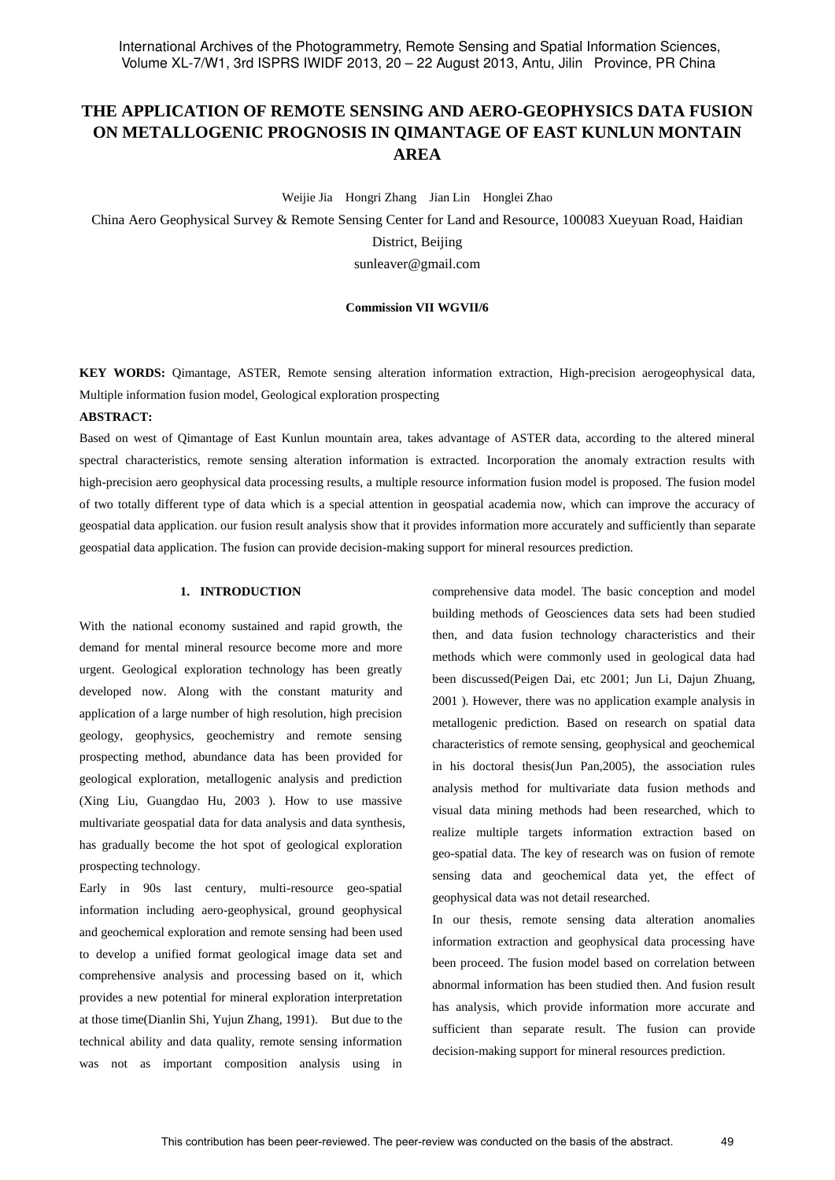# **THE APPLICATION OF REMOTE SENSING AND AERO-GEOPHYSICS DATA FUSION ON METALLOGENIC PROGNOSIS IN QIMANTAGE OF EAST KUNLUN MONTAIN AREA**

Weijie Jia Hongri Zhang Jian Lin Honglei Zhao

China Aero Geophysical Survey & Remote Sensing Center for Land and Resource, 100083 Xueyuan Road, Haidian District, Beijing sunleaver@gmail.com

### **Commission VII WGVII/6**

**KEY WORDS:** Qimantage, ASTER, Remote sensing alteration information extraction, High-precision aerogeophysical data, Multiple information fusion model, Geological exploration prospecting

# **ABSTRACT:**

Based on west of Qimantage of East Kunlun mountain area, takes advantage of ASTER data, according to the altered mineral spectral characteristics, remote sensing alteration information is extracted. Incorporation the anomaly extraction results with high-precision aero geophysical data processing results, a multiple resource information fusion model is proposed. The fusion model of two totally different type of data which is a special attention in geospatial academia now, which can improve the accuracy of geospatial data application. our fusion result analysis show that it provides information more accurately and sufficiently than separate geospatial data application. The fusion can provide decision-making support for mineral resources prediction.

# **1. INTRODUCTION**

With the national economy sustained and rapid growth, the demand for mental mineral resource become more and more urgent. Geological exploration technology has been greatly developed now. Along with the constant maturity and application of a large number of high resolution, high precision geology, geophysics, geochemistry and remote sensing prospecting method, abundance data has been provided for geological exploration, metallogenic analysis and prediction (Xing Liu, Guangdao Hu, 2003 ). How to use massive multivariate geospatial data for data analysis and data synthesis, has gradually become the hot spot of geological exploration prospecting technology.

Early in 90s last century, multi-resource geo-spatial information including aero-geophysical, ground geophysical and geochemical exploration and remote sensing had been used to develop a unified format geological image data set and comprehensive analysis and processing based on it, which provides a new potential for mineral exploration interpretation at those time(Dianlin Shi, Yujun Zhang, 1991). But due to the technical ability and data quality, remote sensing information was not as important composition analysis using in

comprehensive data model. The basic conception and model building methods of Geosciences data sets had been studied then, and data fusion technology characteristics and their methods which were commonly used in geological data had been discussed(Peigen Dai, etc 2001; Jun Li, Dajun Zhuang, 2001 ). However, there was no application example analysis in metallogenic prediction. Based on research on spatial data characteristics of remote sensing, geophysical and geochemical in his doctoral thesis(Jun Pan,2005), the association rules analysis method for multivariate data fusion methods and visual data mining methods had been researched, which to realize multiple targets information extraction based on geo-spatial data. The key of research was on fusion of remote sensing data and geochemical data yet, the effect of geophysical data was not detail researched.

In our thesis, remote sensing data alteration anomalies information extraction and geophysical data processing have been proceed. The fusion model based on correlation between abnormal information has been studied then. And fusion result has analysis, which provide information more accurate and sufficient than separate result. The fusion can provide decision-making support for mineral resources prediction.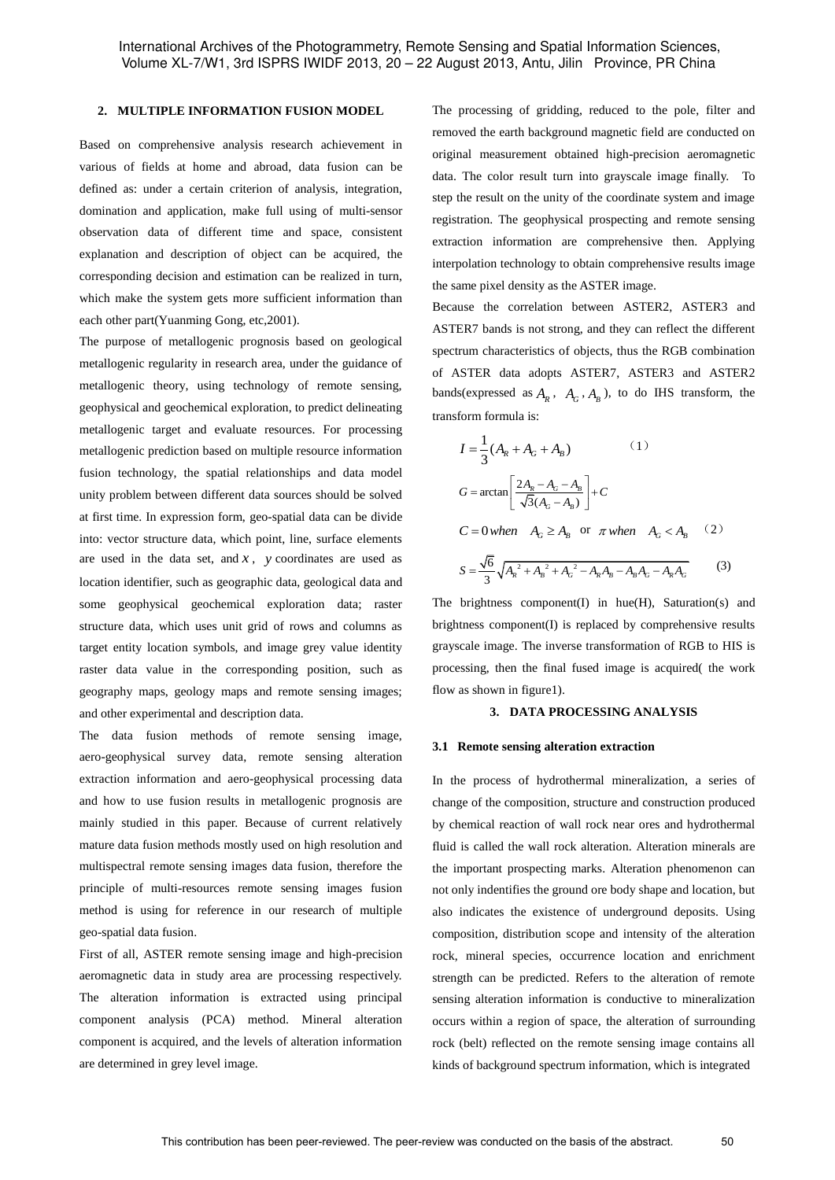# **2. MULTIPLE INFORMATION FUSION MODEL**

Based on comprehensive analysis research achievement in various of fields at home and abroad, data fusion can be defined as: under a certain criterion of analysis, integration, domination and application, make full using of multi-sensor observation data of different time and space, consistent explanation and description of object can be acquired, the corresponding decision and estimation can be realized in turn, which make the system gets more sufficient information than each other part(Yuanming Gong, etc,2001).

The purpose of metallogenic prognosis based on geological metallogenic regularity in research area, under the guidance of metallogenic theory, using technology of remote sensing, geophysical and geochemical exploration, to predict delineating metallogenic target and evaluate resources. For processing metallogenic prediction based on multiple resource information fusion technology, the spatial relationships and data model unity problem between different data sources should be solved at first time. In expression form, geo-spatial data can be divide into: vector structure data, which point, line, surface elements are used in the data set, and  $x$ ,  $y$  coordinates are used as location identifier, such as geographic data, geological data and some geophysical geochemical exploration data; raster structure data, which uses unit grid of rows and columns as target entity location symbols, and image grey value identity raster data value in the corresponding position, such as geography maps, geology maps and remote sensing images; and other experimental and description data.

The data fusion methods of remote sensing image, aero-geophysical survey data, remote sensing alteration extraction information and aero-geophysical processing data and how to use fusion results in metallogenic prognosis are mainly studied in this paper. Because of current relatively mature data fusion methods mostly used on high resolution and multispectral remote sensing images data fusion, therefore the principle of multi-resources remote sensing images fusion method is using for reference in our research of multiple geo-spatial data fusion.

First of all, ASTER remote sensing image and high-precision aeromagnetic data in study area are processing respectively. The alteration information is extracted using principal component analysis (PCA) method. Mineral alteration component is acquired, and the levels of alteration information are determined in grey level image.

The processing of gridding, reduced to the pole, filter and removed the earth background magnetic field are conducted on original measurement obtained high-precision aeromagnetic data. The color result turn into grayscale image finally. To step the result on the unity of the coordinate system and image registration. The geophysical prospecting and remote sensing extraction information are comprehensive then. Applying interpolation technology to obtain comprehensive results image the same pixel density as the ASTER image.

Because the correlation between ASTER2, ASTER3 and ASTER7 bands is not strong, and they can reflect the different spectrum characteristics of objects, thus the RGB combination of ASTER data adopts ASTER7, ASTER3 and ASTER2 bands(expressed as  $A_R$ ,  $A_G$ ,  $A_B$ ), to do IHS transform, the transform formula is:

$$
I = \frac{1}{3} (A_R + A_G + A_B)
$$
 (1)  

$$
G = \arctan \left[ \frac{2A_R - A_G - A_B}{\sqrt{3}(A_G - A_B)} \right] + C
$$

 $C = 0$ *when*  $A_G \ge A_B$  or  $\pi$ *when*  $A_G < A_B$  (2)

$$
S = \frac{\sqrt{6}}{3} \sqrt{A_R^2 + A_B^2 + A_G^2 - A_R A_B - A_B A_G - A_R A_G}
$$
 (3)

The brightness component(I) in hue(H), Saturation(s) and brightness component(I) is replaced by comprehensive results grayscale image. The inverse transformation of RGB to HIS is processing, then the final fused image is acquired( the work flow as shown in figure1).

# **3. DATA PROCESSING ANALYSIS**

#### **3.1 Remote sensing alteration extraction**

In the process of hydrothermal mineralization, a series of change of the composition, structure and construction produced by chemical reaction of wall rock near ores and hydrothermal fluid is called the wall rock alteration. Alteration minerals are the important prospecting marks. Alteration phenomenon can not only indentifies the ground ore body shape and location, but also indicates the existence of underground deposits. Using composition, distribution scope and intensity of the alteration rock, mineral species, occurrence location and enrichment strength can be predicted. Refers to the alteration of remote sensing alteration information is conductive to mineralization occurs within a region of space, the alteration of surrounding rock (belt) reflected on the remote sensing image contains all kinds of background spectrum information, which is integrated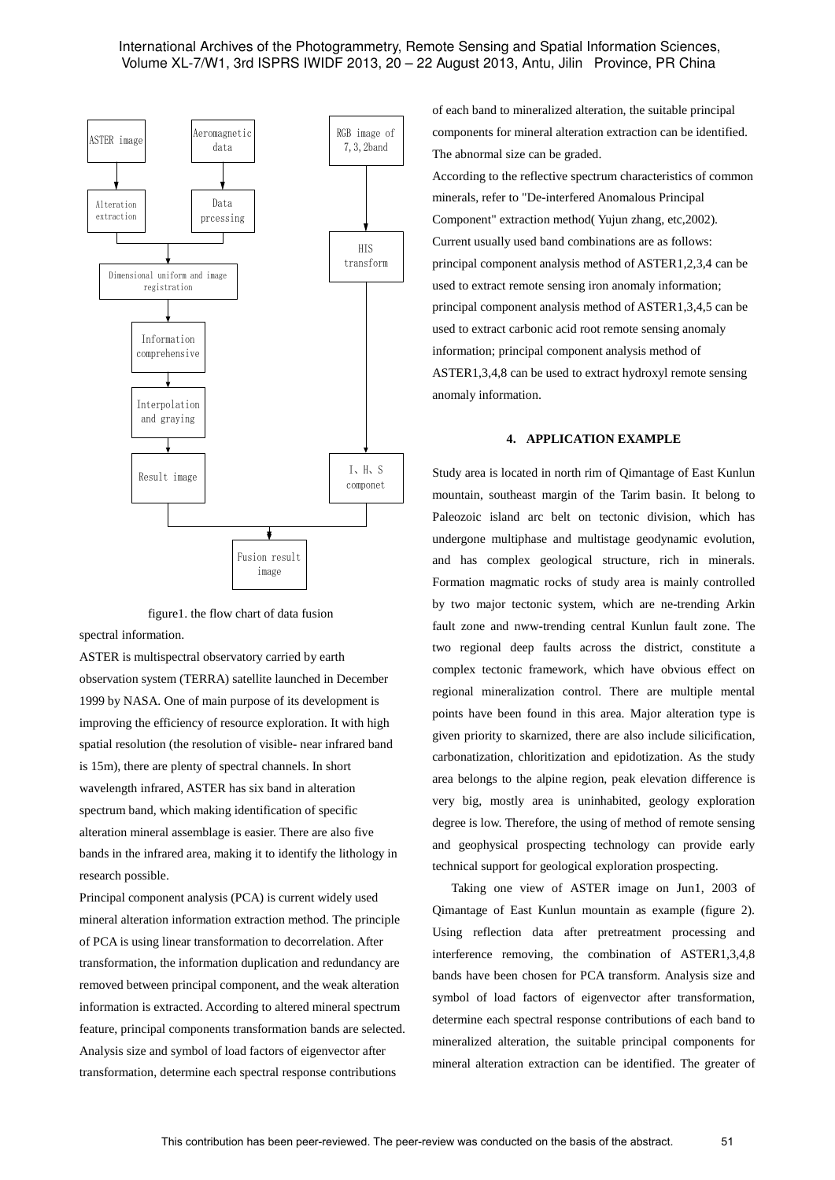# International Archives of the Photogrammetry, Remote Sensing and Spatial Information Sciences, Volume XL-7/W1, 3rd ISPRS IWIDF 2013, 20 – 22 August 2013, Antu, Jilin Province, PR China



figure1. the flow chart of data fusion

spectral information.

ASTER is multispectral observatory carried by earth observation system (TERRA) satellite launched in December 1999 by NASA. One of main purpose of its development is improving the efficiency of resource exploration. It with high spatial resolution (the resolution of visible- near infrared band is 15m), there are plenty of spectral channels. In short wavelength infrared, ASTER has six band in alteration spectrum band, which making identification of specific alteration mineral assemblage is easier. There are also five bands in the infrared area, making it to identify the lithology in research possible.

Principal component analysis (PCA) is current widely used mineral alteration information extraction method. The principle of PCA is using linear transformation to decorrelation. After transformation, the information duplication and redundancy are removed between principal component, and the weak alteration information is extracted. According to altered mineral spectrum feature, principal components transformation bands are selected. Analysis size and symbol of load factors of eigenvector after transformation, determine each spectral response contributions

of each band to mineralized alteration, the suitable principal components for mineral alteration extraction can be identified. The abnormal size can be graded.

According to the reflective spectrum characteristics of common minerals, refer to "De-interfered Anomalous Principal Component" extraction method( Yujun zhang, etc,2002). Current usually used band combinations are as follows: principal component analysis method of ASTER1,2,3,4 can be used to extract remote sensing iron anomaly information; principal component analysis method of ASTER1,3,4,5 can be used to extract carbonic acid root remote sensing anomaly information; principal component analysis method of ASTER1,3,4,8 can be used to extract hydroxyl remote sensing anomaly information.

# **4. APPLICATION EXAMPLE**

Study area is located in north rim of Qimantage of East Kunlun mountain, southeast margin of the Tarim basin. It belong to Paleozoic island arc belt on tectonic division, which has undergone multiphase and multistage geodynamic evolution, and has complex geological structure, rich in minerals. Formation magmatic rocks of study area is mainly controlled by two major tectonic system, which are ne-trending Arkin fault zone and nww-trending central Kunlun fault zone. The two regional deep faults across the district, constitute a complex tectonic framework, which have obvious effect on regional mineralization control. There are multiple mental points have been found in this area. Major alteration type is given priority to skarnized, there are also include silicification, carbonatization, chloritization and epidotization. As the study area belongs to the alpine region, peak elevation difference is very big, mostly area is uninhabited, geology exploration degree is low. Therefore, the using of method of remote sensing and geophysical prospecting technology can provide early technical support for geological exploration prospecting.

 Taking one view of ASTER image on Jun1, 2003 of Qimantage of East Kunlun mountain as example (figure 2). Using reflection data after pretreatment processing and interference removing, the combination of ASTER1,3,4,8 bands have been chosen for PCA transform. Analysis size and symbol of load factors of eigenvector after transformation, determine each spectral response contributions of each band to mineralized alteration, the suitable principal components for mineral alteration extraction can be identified. The greater of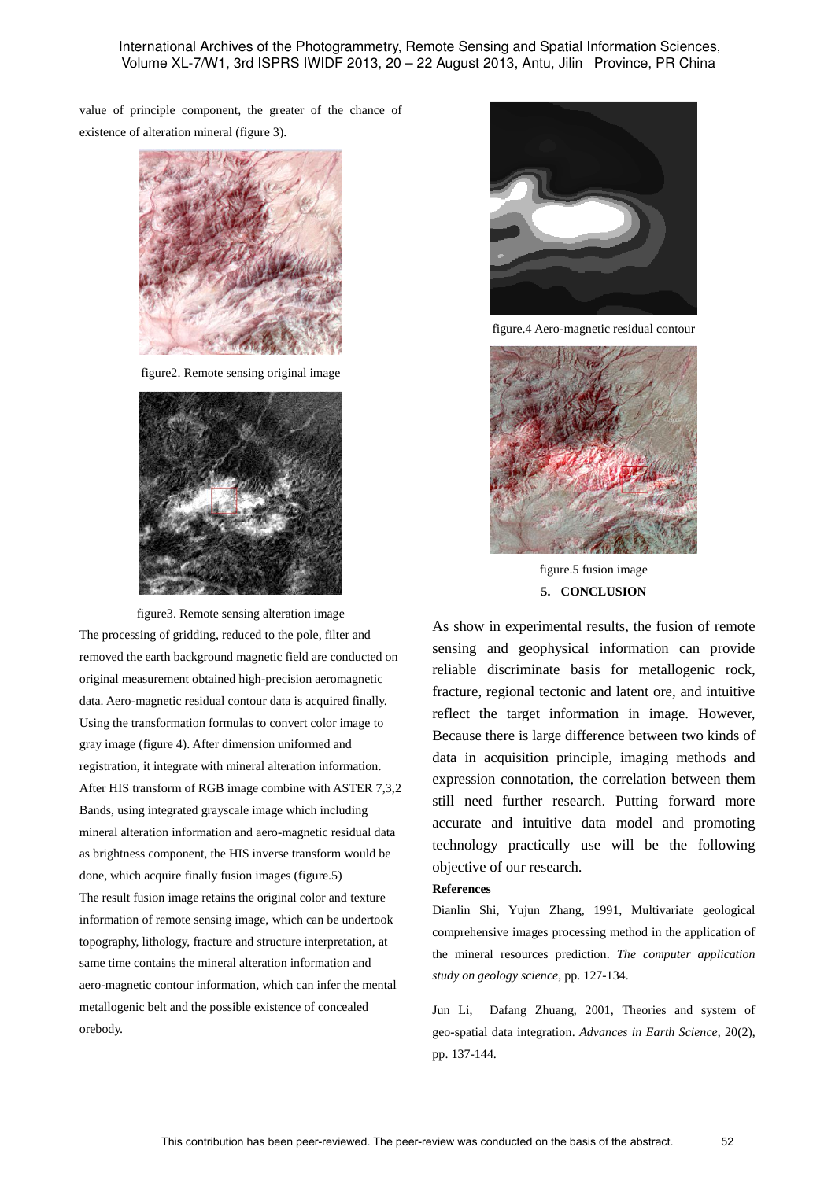International Archives of the Photogrammetry, Remote Sensing and Spatial Information Sciences, Volume XL-7/W1, 3rd ISPRS IWIDF 2013, 20 – 22 August 2013, Antu, Jilin Province, PR China

value of principle component, the greater of the chance of existence of alteration mineral (figure 3).



figure2. Remote sensing original image



figure3. Remote sensing alteration image The processing of gridding, reduced to the pole, filter and removed the earth background magnetic field are conducted on original measurement obtained high-precision aeromagnetic data. Aero-magnetic residual contour data is acquired finally. Using the transformation formulas to convert color image to gray image (figure 4). After dimension uniformed and registration, it integrate with mineral alteration information. After HIS transform of RGB image combine with ASTER 7,3,2 Bands, using integrated grayscale image which including mineral alteration information and aero-magnetic residual data as brightness component, the HIS inverse transform would be done, which acquire finally fusion images (figure.5) The result fusion image retains the original color and texture information of remote sensing image, which can be undertook topography, lithology, fracture and structure interpretation, at same time contains the mineral alteration information and aero-magnetic contour information, which can infer the mental metallogenic belt and the possible existence of concealed orebody.



figure.4 Aero-magnetic residual contour



figure.5 fusion image **5. CONCLUSION**

As show in experimental results, the fusion of remote sensing and geophysical information can provide reliable discriminate basis for metallogenic rock, fracture, regional tectonic and latent ore, and intuitive reflect the target information in image. However, Because there is large difference between two kinds of data in acquisition principle, imaging methods and expression connotation, the correlation between them still need further research. Putting forward more accurate and intuitive data model and promoting technology practically use will be the following objective of our research.

# **References**

Dianlin Shi, Yujun Zhang, 1991, Multivariate geological comprehensive images processing method in the application of the mineral resources prediction. *The computer application study on geology science*, pp. 127-134.

Jun Li, Dafang Zhuang, 2001, Theories and system of geo-spatial data integration. *Advances in Earth Science*, 20(2), pp. 137-144.